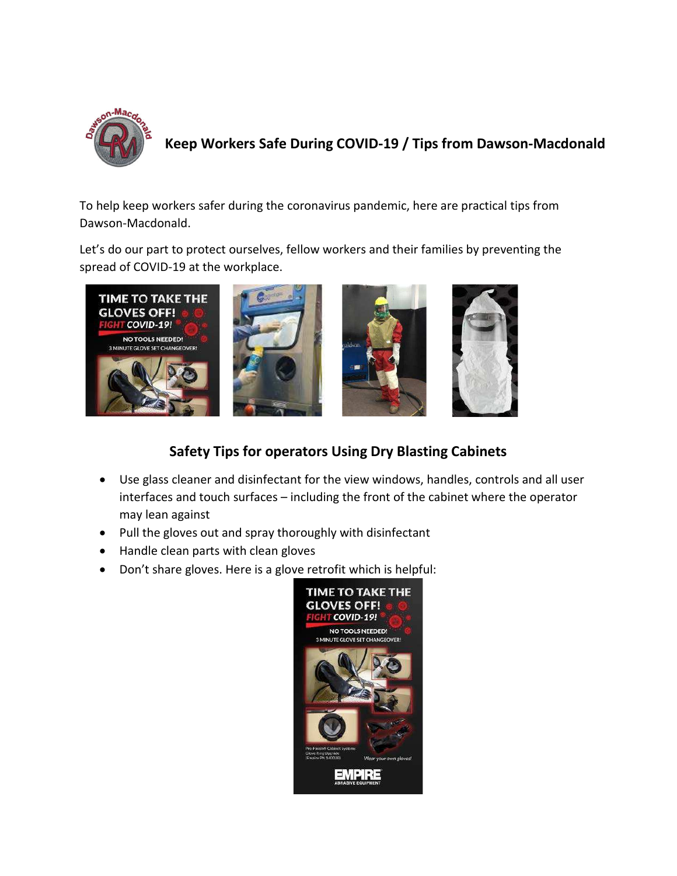

**Keep Workers Safe During COVID-19 / Tips from Dawson-Macdonald**

To help keep workers safer during the coronavirus pandemic, here are practical tips from Dawson-Macdonald.

Let's do our part to protect ourselves, fellow workers and their families by preventing the spread of COVID-19 at the workplace.



## **Safety Tips for operators Using Dry Blasting Cabinets**

- Use glass cleaner and disinfectant for the view windows, handles, controls and all user interfaces and touch surfaces – including the front of the cabinet where the operator may lean against
- Pull the gloves out and spray thoroughly with disinfectant
- Handle clean parts with clean gloves
- Don't share gloves. Here is a glove retrofit which is helpful:

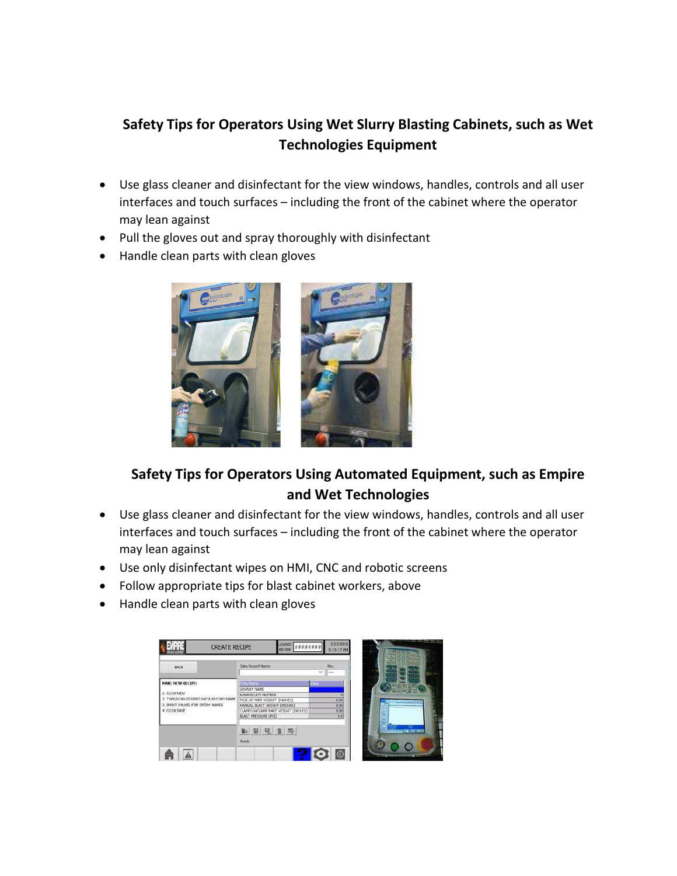## **Safety Tips for Operators Using Wet Slurry Blasting Cabinets, such as Wet Technologies Equipment**

- Use glass cleaner and disinfectant for the view windows, handles, controls and all user interfaces and touch surfaces – including the front of the cabinet where the operator may lean against
- Pull the gloves out and spray thoroughly with disinfectant
- Handle clean parts with clean gloves



## **Safety Tips for Operators Using Automated Equipment, such as Empire and Wet Technologies**

- Use glass cleaner and disinfectant for the view windows, handles, controls and all user interfaces and touch surfaces – including the front of the cabinet where the operator may lean against
- Use only disinfectant wipes on HMI, CNC and robotic screens
- Follow appropriate tips for blast cabinet workers, above
- Handle clean parts with clean gloves

| <b>BACK</b>                                                                                                                        | Data Record Name:                                  | No.c<br>$\infty$<br>in a     |                         |
|------------------------------------------------------------------------------------------------------------------------------------|----------------------------------------------------|------------------------------|-------------------------|
| <b>MAKE NEW RECIPE:</b><br>1. CLICK NEW<br>7 TYPE/SCAN DESIRED DATA RECORD NAME<br>3. INPUT VALUES FOR ENTRY NAMES<br>4 CLICK SAVE | <b>Srtty Nane</b>                                  | Valle                        |                         |
|                                                                                                                                    | DISPLAY NAME                                       |                              |                         |
|                                                                                                                                    | KUKA RECIPE NUMBER<br>PECK UP PART HEIGHT (INCHES) |                              |                         |
|                                                                                                                                    | MANUAL BLAST HEIGHT (INCHES)                       | 0.00<br>0.00<br>0.00<br>0.00 |                         |
|                                                                                                                                    | CLAMP/UNCLAMP PART HEIGHT (INCHES)                 |                              |                         |
|                                                                                                                                    | BLAST PRESSURE (PSI)                               |                              |                         |
|                                                                                                                                    | 图见目取                                               |                              | <b>STREETS DECISION</b> |
|                                                                                                                                    | Ready                                              |                              |                         |